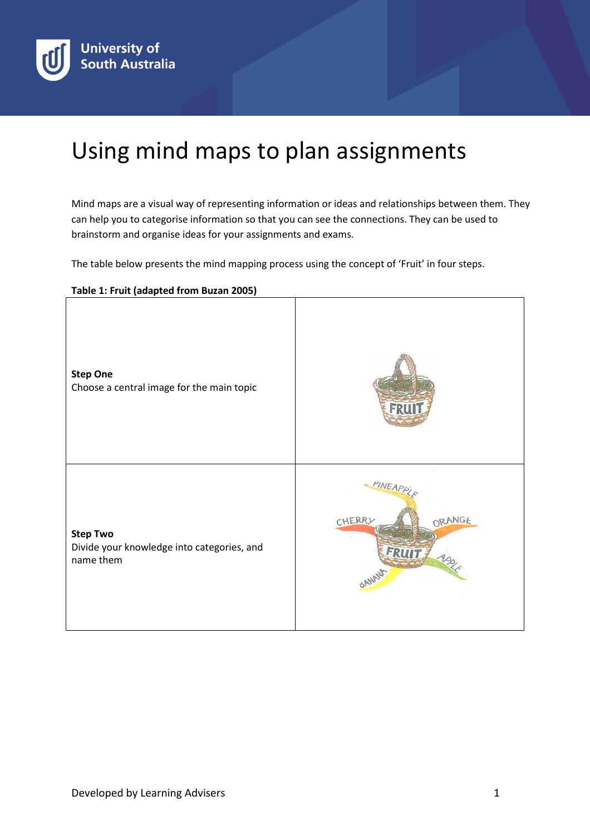

## Using mind maps to plan assignments

Mind maps are a visual way of representing information or ideas and relationships between them. They can help you to categorise information so that you can see the connections. They can be used to brainstorm and organise ideas for your assignments and exams.

The table below presents the mind mapping process using the concept of 'Fruit' in four steps.

## **Table 1: Fruit (adapted from Buzan 2005)**